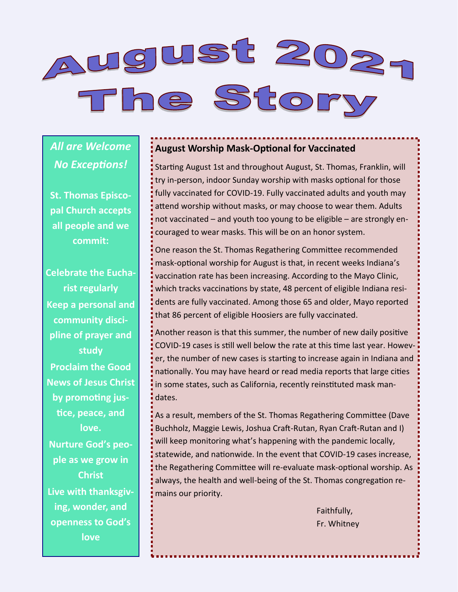

*All are Welcome No Exceptions!*

**St. Thomas Episcopal Church accepts all people and we commit:**

**Celebrate the Eucharist regularly Keep a personal and community discipline of prayer and study Proclaim the Good News of Jesus Christ by promoting justice, peace, and love. Nurture God's people as we grow in Christ Live with thanksgiving, wonder, and openness to God's love**

#### **August Worship Mask-Optional for Vaccinated**

Starting August 1st and throughout August, St. Thomas, Franklin, will try in-person, indoor Sunday worship with masks optional for those fully vaccinated for COVID-19. Fully vaccinated adults and youth may attend worship without masks, or may choose to wear them. Adults not vaccinated – and youth too young to be eligible – are strongly encouraged to wear masks. This will be on an honor system.

One reason the St. Thomas Regathering Committee recommended mask-optional worship for August is that, in recent weeks Indiana's vaccination rate has been increasing. According to the Mayo Clinic, which tracks vaccinations by state, 48 percent of eligible Indiana residents are fully vaccinated. Among those 65 and older, Mayo reported that 86 percent of eligible Hoosiers are fully vaccinated.

Another reason is that this summer, the number of new daily positive COVID-19 cases is still well below the rate at this time last year. However, the number of new cases is starting to increase again in Indiana and nationally. You may have heard or read media reports that large cities in some states, such as California, recently reinstituted mask mandates.

As a result, members of the St. Thomas Regathering Committee (Dave Buchholz, Maggie Lewis, Joshua Craft-Rutan, Ryan Craft-Rutan and I) will keep monitoring what's happening with the pandemic locally, statewide, and nationwide. In the event that COVID-19 cases increase, the Regathering Committee will re-evaluate mask-optional worship. As always, the health and well-being of the St. Thomas congregation remains our priority.

> Faithfully, Fr. Whitney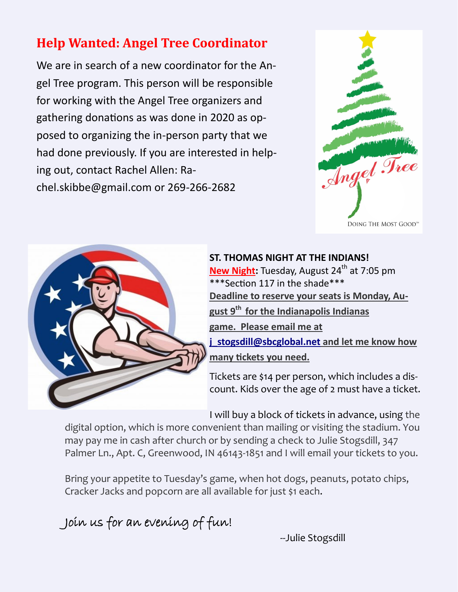#### **Help Wanted: Angel Tree Coordinator**

We are in search of a new coordinator for the Angel Tree program. This person will be responsible for working with the Angel Tree organizers and gathering donations as was done in 2020 as opposed to organizing the in-person party that we had done previously. If you are interested in helping out, contact Rachel Allen: Rachel.skibbe@gmail.com or 269-266-2682





**ST. THOMAS NIGHT AT THE INDIANS!**  New Night: Tuesday, August 24<sup>th</sup> at 7:05 pm \*\*\*Section 117 in the shade\*\*\* **Deadline to reserve your seats is Monday, August 9th for the Indianapolis Indianas game. Please email me at [j\\_stogsdill@sbcglobal.net](mailto:j_stogsdill@sbcglobal.net)** and let me know how **many tickets you need.**

Tickets are \$14 per person, which includes a discount. Kids over the age of 2 must have a ticket.

I will buy a block of tickets in advance, using the

digital option, which is more convenient than mailing or visiting the stadium. You may pay me in cash after church or by sending a check to Julie Stogsdill, 347 Palmer Ln., Apt. C, Greenwood, IN 46143-1851 and I will email your tickets to you.

Bring your appetite to Tuesday's game, when hot dogs, peanuts, potato chips, Cracker Jacks and popcorn are all available for just \$1 each.

Join us for an evening of fun!

--Julie Stogsdill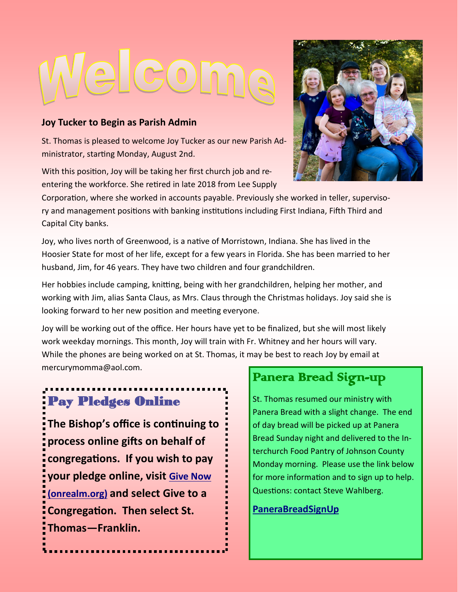# Jelcome

#### **Joy Tucker to Begin as Parish Admin**

St. Thomas is pleased to welcome Joy Tucker as our new Parish Administrator, starting Monday, August 2nd.

With this position, Joy will be taking her first church job and reentering the workforce. She retired in late 2018 from Lee Supply



Corporation, where she worked in accounts payable. Previously she worked in teller, supervisory and management positions with banking institutions including First Indiana, Fifth Third and Capital City banks.

Joy, who lives north of Greenwood, is a native of Morristown, Indiana. She has lived in the Hoosier State for most of her life, except for a few years in Florida. She has been married to her husband, Jim, for 46 years. They have two children and four grandchildren.

Her hobbies include camping, knitting, being with her grandchildren, helping her mother, and working with Jim, alias Santa Claus, as Mrs. Claus through the Christmas holidays. Joy said she is looking forward to her new position and meeting everyone.

Joy will be working out of the office. Her hours have yet to be finalized, but she will most likely work weekday mornings. This month, Joy will train with Fr. Whitney and her hours will vary. While the phones are being worked on at St. Thomas, it may be best to reach Joy by email at mercurymomma@aol.com.

### Pay Pledges Online

**The Bishop's office is continuing to process online gifts on behalf of congregations. If you wish to pay your pledge online, visit [Give Now](https://onrealm.org/indydio/-/give/covid19)  [\(onrealm.org\)](https://onrealm.org/indydio/-/give/covid19) and select Give to a Congregation. Then select St. Thomas—Franklin.** 

#### Panera Bread Sign-up

St. Thomas resumed our ministry with Panera Bread with a slight change. The end of day bread will be picked up at Panera Bread Sunday night and delivered to the Interchurch Food Pantry of Johnson County Monday morning. Please use the link below for more information and to sign up to help. Questions: contact Steve Wahlberg.

#### **[PaneraBreadSignUp](https://www.signupgenius.com/go/409084BA9A62BA46-panera)**